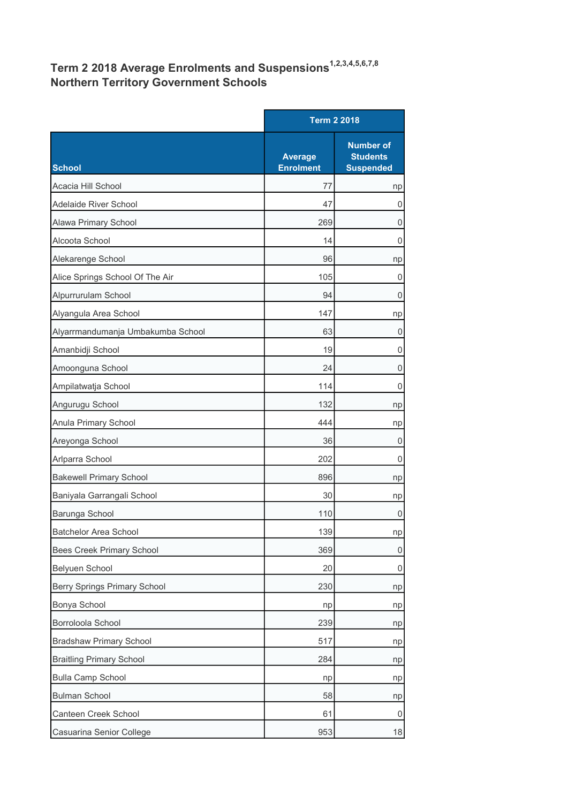## Term 2 2018 Average Enrolments and Suspensions<sup>1,2,3,4,5,6,7,8</sup> Northern Territory Government Schools

|                                     |                                    | <b>Term 2 2018</b>                                      |  |
|-------------------------------------|------------------------------------|---------------------------------------------------------|--|
| <b>School</b>                       | <b>Average</b><br><b>Enrolment</b> | <b>Number of</b><br><b>Students</b><br><b>Suspended</b> |  |
| Acacia Hill School                  | 77                                 | np                                                      |  |
| Adelaide River School               | 47                                 | 0                                                       |  |
| Alawa Primary School                | 269                                | 0                                                       |  |
| Alcoota School                      | 14                                 | 0                                                       |  |
| Alekarenge School                   | 96                                 | np                                                      |  |
| Alice Springs School Of The Air     | 105                                | 0                                                       |  |
| Alpurrurulam School                 | 94                                 | 0                                                       |  |
| Alyangula Area School               | 147                                | np                                                      |  |
| Alyarrmandumanja Umbakumba School   | 63                                 | 0                                                       |  |
| Amanbidji School                    | 19                                 | 0                                                       |  |
| Amoonguna School                    | 24                                 | 0                                                       |  |
| Ampilatwatja School                 | 114                                | 0                                                       |  |
| Angurugu School                     | 132                                | np                                                      |  |
| Anula Primary School                | 444                                | np                                                      |  |
| Areyonga School                     | 36                                 | 0                                                       |  |
| Arlparra School                     | 202                                | 0                                                       |  |
| <b>Bakewell Primary School</b>      | 896                                | np                                                      |  |
| Baniyala Garrangali School          | 30                                 | np                                                      |  |
| Barunga School                      | 110                                | 0                                                       |  |
| Batchelor Area School               | 139                                | np                                                      |  |
| <b>Bees Creek Primary School</b>    | 369                                | $\mathsf{O}\xspace$                                     |  |
| Belyuen School                      | 20                                 | 0                                                       |  |
| <b>Berry Springs Primary School</b> | 230                                | np                                                      |  |
| Bonya School                        | np                                 | np                                                      |  |
| Borroloola School                   | 239                                | np                                                      |  |
| <b>Bradshaw Primary School</b>      | 517                                | np                                                      |  |
| <b>Braitling Primary School</b>     | 284                                | np                                                      |  |
| <b>Bulla Camp School</b>            | np                                 | np                                                      |  |
| <b>Bulman School</b>                | 58                                 | np                                                      |  |
| Canteen Creek School                | 61                                 | 0                                                       |  |
| Casuarina Senior College            | 953                                | 18                                                      |  |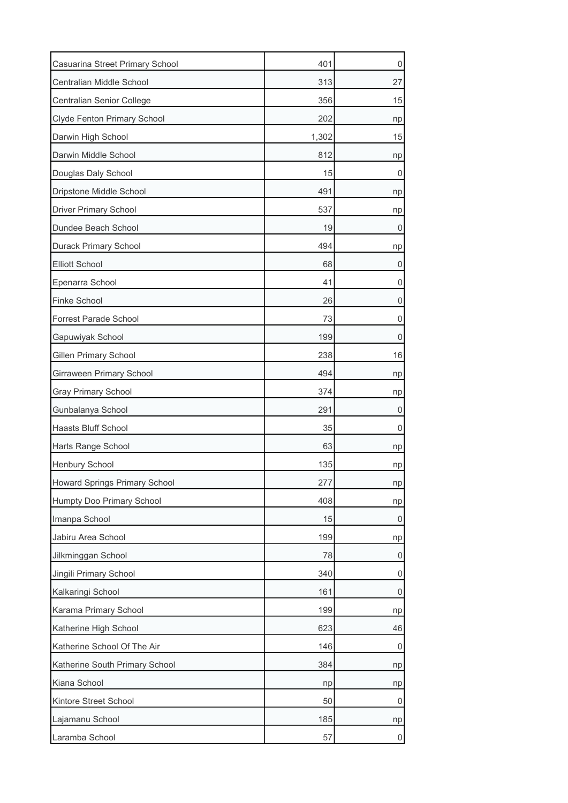| Casuarina Street Primary School      | 401   | 0  |
|--------------------------------------|-------|----|
| Centralian Middle School             | 313   | 27 |
| Centralian Senior College            | 356   | 15 |
| Clyde Fenton Primary School          | 202   | np |
| Darwin High School                   | 1,302 | 15 |
| Darwin Middle School                 | 812   | np |
| Douglas Daly School                  | 15    | 0  |
| Dripstone Middle School              | 491   | np |
| <b>Driver Primary School</b>         | 537   | np |
| Dundee Beach School                  | 19    | O  |
| Durack Primary School                | 494   | np |
| <b>Elliott School</b>                | 68    | 0  |
| Epenarra School                      | 41    | 0  |
| <b>Finke School</b>                  | 26    | 0  |
| <b>Forrest Parade School</b>         | 73    | 0  |
| Gapuwiyak School                     | 199   | 0  |
| <b>Gillen Primary School</b>         | 238   | 16 |
| Girraween Primary School             | 494   | np |
| <b>Gray Primary School</b>           | 374   | np |
| Gunbalanya School                    | 291   | 0  |
| Haasts Bluff School                  | 35    | 0  |
| Harts Range School                   | 63    | np |
| Henbury School                       | 135   | np |
| <b>Howard Springs Primary School</b> | 277   | np |
| Humpty Doo Primary School            | 408   | np |
| Imanpa School                        | 15    | 0  |
| Jabiru Area School                   | 199   | np |
| Jilkminggan School                   | 78    | 0  |
| Jingili Primary School               | 340   | 0  |
| Kalkaringi School                    | 161   | 0  |
| Karama Primary School                | 199   | np |
| Katherine High School                | 623   | 46 |
| Katherine School Of The Air          | 146   | 0  |
| Katherine South Primary School       | 384   | np |
| Kiana School                         | np    | np |
| Kintore Street School                | 50    | 0  |
| Lajamanu School                      | 185   | np |
| Laramba School                       | 57    | 0  |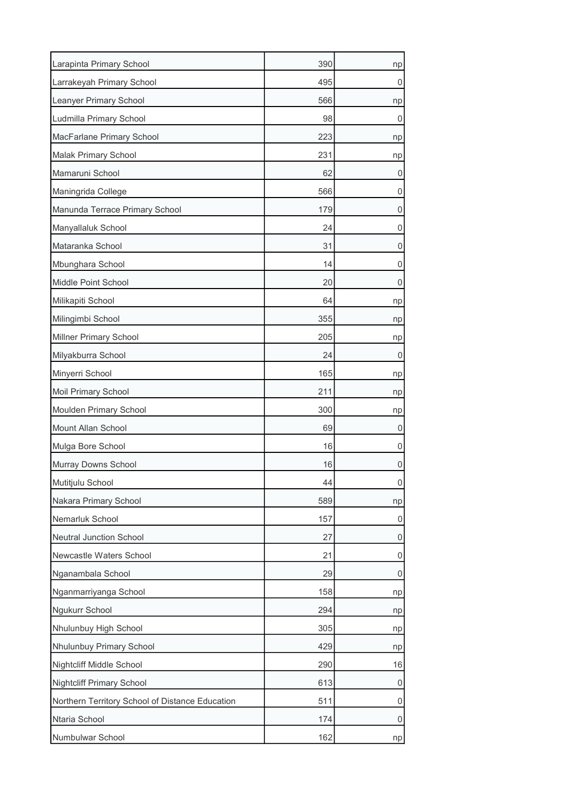| Larapinta Primary School                        | 390 | np |
|-------------------------------------------------|-----|----|
| Larrakeyah Primary School                       | 495 | 0  |
| Leanyer Primary School                          | 566 | np |
| Ludmilla Primary School                         | 98  | 0  |
| MacFarlane Primary School                       | 223 | np |
| Malak Primary School                            | 231 | np |
| Mamaruni School                                 | 62  | 0  |
| Maningrida College                              | 566 | 0  |
| Manunda Terrace Primary School                  | 179 | 0  |
| Manyallaluk School                              | 24  | 0  |
| Mataranka School                                | 31  | 0  |
| Mbunghara School                                | 14  | 0  |
| Middle Point School                             | 20  | 0  |
| Milikapiti School                               | 64  | np |
| Milingimbi School                               | 355 | np |
| Millner Primary School                          | 205 | np |
| Milyakburra School                              | 24  | 0  |
| Minyerri School                                 | 165 | np |
| Moil Primary School                             | 211 | np |
| Moulden Primary School                          | 300 | np |
| Mount Allan School                              | 69  | 0  |
| Mulga Bore School                               | 16  | 0  |
| Murray Downs School                             | 16  | 0  |
| Mutitjulu School                                | 44  | 0  |
| Nakara Primary School                           | 589 | np |
| Nemarluk School                                 | 157 | 0  |
| Neutral Junction School                         | 27  | 0  |
| Newcastle Waters School                         | 21  | 0  |
| Nganambala School                               | 29  | 0  |
| Nganmarriyanga School                           | 158 | np |
| Ngukurr School                                  | 294 | np |
| Nhulunbuy High School                           | 305 | np |
| Nhulunbuy Primary School                        | 429 | np |
| Nightcliff Middle School                        | 290 | 16 |
| Nightcliff Primary School                       | 613 | 0  |
| Northern Territory School of Distance Education | 511 | 0  |
| Ntaria School                                   | 174 | 0  |
| Numbulwar School                                | 162 | np |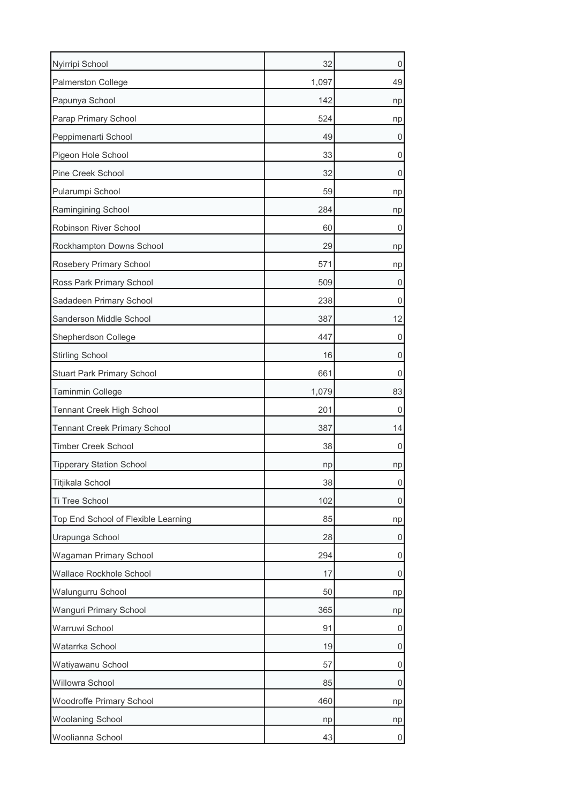| Nyirripi School                     | 32    | 0  |
|-------------------------------------|-------|----|
| <b>Palmerston College</b>           | 1,097 | 49 |
| Papunya School                      | 142   | np |
| Parap Primary School                | 524   | np |
| Peppimenarti School                 | 49    | U  |
| Pigeon Hole School                  | 33    | 0  |
| Pine Creek School                   | 32    | 0  |
| Pularumpi School                    | 59    | np |
| Ramingining School                  | 284   | np |
| Robinson River School               | 60    | U  |
| Rockhampton Downs School            | 29    | np |
| Rosebery Primary School             | 571   | np |
| Ross Park Primary School            | 509   | 0  |
| Sadadeen Primary School             | 238   | 0  |
| Sanderson Middle School             | 387   | 12 |
| Shepherdson College                 | 447   | 0  |
| <b>Stirling School</b>              | 16    | 0  |
| <b>Stuart Park Primary School</b>   | 661   | 0  |
| <b>Taminmin College</b>             | 1,079 | 83 |
| Tennant Creek High School           | 201   | 0  |
| <b>Tennant Creek Primary School</b> | 387   | 14 |
| <b>Timber Creek School</b>          | 38    | 0  |
| <b>Tipperary Station School</b>     | np    | np |
| Titjikala School                    | 38    | 0  |
| Ti Tree School                      | 102   | 0  |
| Top End School of Flexible Learning | 85    | np |
| Urapunga School                     | 28    | 0  |
| Wagaman Primary School              | 294   | 0  |
| Wallace Rockhole School             | 17    | 0  |
| Walungurru School                   | 50    | np |
| Wanguri Primary School              | 365   | np |
| Warruwi School                      | 91    | 0  |
| Watarrka School                     | 19    | 0  |
| Watiyawanu School                   | 57    | 0  |
| Willowra School                     | 85    | 0  |
| Woodroffe Primary School            | 460   | np |
| <b>Woolaning School</b>             | np    | np |
| Woolianna School                    | 43    | O  |